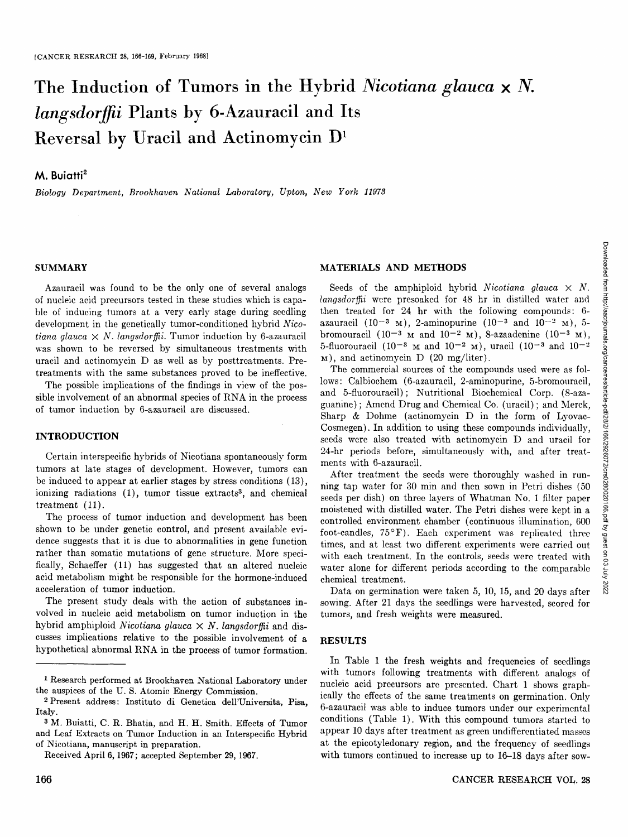# **The Induction of Tumors in the Hybrid** *Nicotiana glauca x N. langsdorjffii* **Plants by 6-Azauracil and Its**  Reversal by Uracil and Actinomycin  $D^1$

## **M.** Buiatti<sup>2</sup>

*Biology Department, Brookhaven National Laboratory, Upton, New York 11973* 

### **SUMMARY**

Azauracil was found to be the only one of several analogs of nucleic acid precursors tested in these studies which is capable of inducing tumors at a very early stage during seedling development in the genetically tumor-conditioned hybrid *Nicotiana glauca*  $\times$  *N. langsdorffii.* Tumor induction by 6-azauracil was shown to be reversed by simultaneous treatments with uracil and actinomycin D as well as by posttreatments. Pretreatments with the same substances proved to be ineffective.

The possible implications of the findings in view of the possible involvement of an abnormal species of RNA in the process of tumor induction by 6-azauracil are discussed.

## **INTRODUCTION**

Certain interspecific hybrids of Nicotiana spontaneously form tumors at late stages of development. However, tumors can be induced to appear at earlier stages by stress conditions (13), ionizing radiations  $(1)$ , tumor tissue extracts<sup>3</sup>, and chemical treatment (11).

The process of tumor induction and development has been shown to be under genetic control, and present available evidence suggests that it is due to abnormalities in gene function rather than somatic mutations of gene structure. More specifically, Schaeffer (11) has suggested that an altered nucleic acid metabolism might be responsible for the hormone-induced acceleration of tumor induction.

The present study deals with the action of substances involved in nucleic acid metabolism on tumor induction in the hybrid amphiploid *Nicotiana glauca*  $\times$  *N. langsdorffii* and discusses implications relative to the possible involvement of a hypothetical abnormal RNA in the process of tumor formation.

## **MATERIALS AND METHODS**

Seeds of the amphiploid hybrid *Nicotiana glauca*  $\times$  *N*. *tangsdorlfii* were presoaked for 48 hr in distilled water and then treated for 24 hr with the following compounds: 6 azauracil (10<sup>-3</sup> M), 2-aminopurine (10<sup>-3</sup> and 10<sup>-2</sup> M), 5bromouracil  $(10^{-3}$  M and  $10^{-2}$  M), 8-azaadenine  $(10^{-3}$  M), 5-fluorouracil (10<sup>-3</sup>  $\mu$  and 10<sup>-2</sup>  $\mu$ ), uracil (10<sup>-3</sup> and 10<sup>-2</sup> M), and actinomycin D (20 mg/Iiter).

The commercial sources of the compounds used were as follows: Calbiochem (6-azauracil, 2-aminopurine, 5-bromouracil, and 5-fluorouracil); Nutritional Biochemical Corp. (S-azaguanine) ; Amend Drug and Chemical Co. (uracil) ; and Merck, Sharp & Dohme (actinomycin D in the form of Lyovac-Cosmegen). In addition to using these compounds individually, seeds were also treated with actinomycin D and uracil for 24-hr periods before, simultaneously with, and after treatments with 6-azauracil.

After treatment the seeds were thoroughly washed in running tap water for 30 min and then sown in Petri dishes (50 seeds per dish) on three layers of Whatman No. 1 filter paper moistened with distilled water. The Petri dishes were kept in a controlled environment chamber (continuous illumination, 600 foot-candles,  $75^{\circ}$ F). Each experiment was replicated three times, and at least two different experiments were carried out with each treatment. In the controls, seeds were treated with water alone for different periods according to the comparable chemical treatment.

Data on germination were taken 5, 10, 15, and 20 days after sowing. After 21 days the seedlings were harvested, scored for tumors, and fresh weights were measured.

## **RESULTS**

In Table 1 the fresh weights and frequencies of seedlings with tumors following treatments with different analogs of nucleic acid precursors are presented. Chart 1 shows graphically the effects of the same treatments on germination. Only 6-azauracil was able to induce tumors under our experimental conditions (Table 1). With this compound tumors started to appear 10 days after treatment as green undifferentiated masses at the epicotyledonary region, and the frequency of seedlings with tumors continued to increase up to 16-18 days after sow-

<sup>1</sup> Research performed at Brookhaven National Laboratory under the auspices of the U. S. Atomic Energy Commission.

<sup>2</sup> Present address: Instituto di Genetica dell'Universita, Pisa, Italy.

<sup>3</sup> M. Buiatti, C. R. Bhatia, and H. H. Smith. Effects of Tumor and Leaf Extracts on Tumor Induction in an Interspecific Hybrid of Nicotiana, manuscript in preparation.

Received April 6, 1967; accepted September 29, 1967.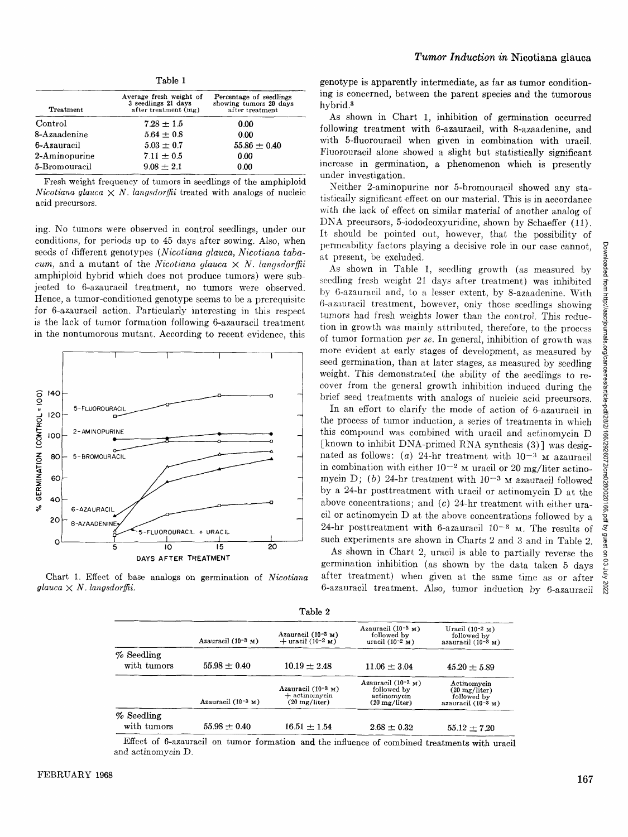|                  | Table 1                                                                |                                                                      |  |
|------------------|------------------------------------------------------------------------|----------------------------------------------------------------------|--|
| <b>Treatment</b> | Average fresh weight of<br>3 seedlings 21 days<br>after treatment (mg) | Percentage of seedlings<br>showing tumors 20 days<br>after treatment |  |
| Control          | $7.28 \pm 1.5$                                                         | 0.00                                                                 |  |
| 8-Azaadenine     | $5.64 \pm 0.8$                                                         | 0.00                                                                 |  |
| 6-Azauracil      | $5.03 \pm 0.7$                                                         | $55.86 \pm 0.40$                                                     |  |
| 2-Aminopurine    | $7.11 \pm 0.5$                                                         | 0.00                                                                 |  |
| 5-Bromouracil    | $9.08 + 2.1$                                                           | 0.00                                                                 |  |

Fresh weight frequency of tumors in seedlings of the amphiploid *Nicotiana glauca*  $\times$  *N. langsdorffii* treated with analogs of nucleic acid precursors.

ing. No tumors were observed in control seedlings, under our conditions, for periods up to 45 days after sowing. Also, when seeds of different genotypes *(Nicotiana glauca, Nicotiana tabacum,* and a mutant of the *Nicotiana glauca*  $\times$  *N. langsdorffii* amphiploid hybrid which does not produce tumors) were subjected to 6-azauracil treatment, no tumors were observed. Hence, a tumor-conditioned genotype seems to be a prerequisite for 6-azauracil action. Particularly interesting in this respect is the lack of tumor formation following 6-azauracil treatment in the nontumorous mutant. According to recent evidence, this



Chart 1. Effect of base analogs on germination of *Nicotiana*   $glauca \times N.$  *langsdorffii.* 

genotype is apparently intermediate, as far as tumor conditioning is concerned, between the parent species and the tumorous hybrid.<sup>3</sup>

As shown in Chart 1, inhibition of germination occurred following treatment with 6-azauracil, with 8-azaadenine, and with 5-fluorouracil when given in combination with uracil. Fluorouracil alone showed a slight but statistically significant increase in germination, a phenomenon which is presently under investigation.

Neither 2-aminopurine nor 5-bromouracil showed any statistically significant effect on our material. This is in accordance with the lack of effect on similar material of another analog of DNA precursors, 5-iododeoxyuridine, shown by Schaeffer (11). It should be pointed out, however, that the possibility of permeability factors playing a decisive role in our case cannot, at present, be excluded.

As shown in Table 1, seedling growth (as measured by seedling fresh weight 21 days after treatment) was inhibited by 6-azauracil and, to a lesser extent, by 8-azaadenine. With 6-azauraeil treatment, however, only those seedlings showing tumors had fresh weights lower than the control. This reduction in growth was mainly attributed, therefore, to the process of tumor formation *per se.* In general, inhibition of growth was more evident at early stages of development, as measured by seed germination, than at later stages, as measured by seedling weight. This demonstrated the ability of the seedlings to recover from the general growth inhibition induced during the brief seed treatments with analogs of nucleic acid precursors.

In an effort to clarify the mode of action of 6-azauracil in the process of tumor induction, a series of treatments in which this compound was combined with uracil and actinomycin D [known to inhibit DNA-primed RNA synthesis (3)] was designated as follows: (a) 24-hr treatment with  $10^{-3}$  M azauracil in combination with either  $10^{-2}$  M uracil or 20 mg/liter actinomycin D; (b) 24-hr treatment with  $10^{-3}$  M azauracil followed by a 24-hr posttreatment with uracil or actinomycin D at the above concentrations; and  $(c)$  24-hr treatment with either uracil or actinomycin D at the above concentrations followed by a 24-hr posttreatment with 6-azauracil  $10^{-3}$  M. The results of such experiments are shown in Charts 2 and 3 and in Table 2.

As shown in Chart 2, uracil is able to partially reverse the germination inhibition (as shown by the data taken 5 days after treatment) when given at the same time as or after 6-azauracil treatment. Also, tumor induction by 6-azauracit

|                              |                         | rapie z                                                               |                                                                                  |                                                                                  |
|------------------------------|-------------------------|-----------------------------------------------------------------------|----------------------------------------------------------------------------------|----------------------------------------------------------------------------------|
|                              | Azauracil $(10^{-3}$ M) | Azauracil $(10^{-3}$ M)<br>$+$ uracil (10-2 M)                        | Azauracil $(10^{-3}$ M)<br>followed by<br>uracil $(10^{-2} M)$                   | Uracil $(10^{-2}$ M)<br>followed by<br>azauracil $(10-3$ M)                      |
| $\%$ Seedling<br>with tumors | $55.98 \pm 0.40$        | $10.19 \pm 2.48$                                                      | $11.06 \pm 3.04$                                                                 | $45.20 \pm 5.89$                                                                 |
|                              | Azauracil $(10^{-3}$ M) | Azauracil $(10^{-3}$ M)<br>$+$ actinomycin<br>$(20 \text{ mg/liter})$ | Azauracil $(10^{-3}$ M)<br>followed by<br>actinomycin<br>$(20 \text{ mg/liter})$ | Actinomycin<br>$(20 \text{ mg/liter})$<br>followed by<br>azauracil $(10^{-3}$ M) |
| $%$ Seedling<br>with tumors  | $55.98 \pm 0.40$        | $16.51 \pm 1.54$                                                      | $2.68 \pm 0.32$                                                                  | $55.12 \pm 7.20$                                                                 |

 $T<sub>1</sub>$ 

Effect of 6-azauracil on tumor formation and the influence of combined treatments with uracil and actinomycin D.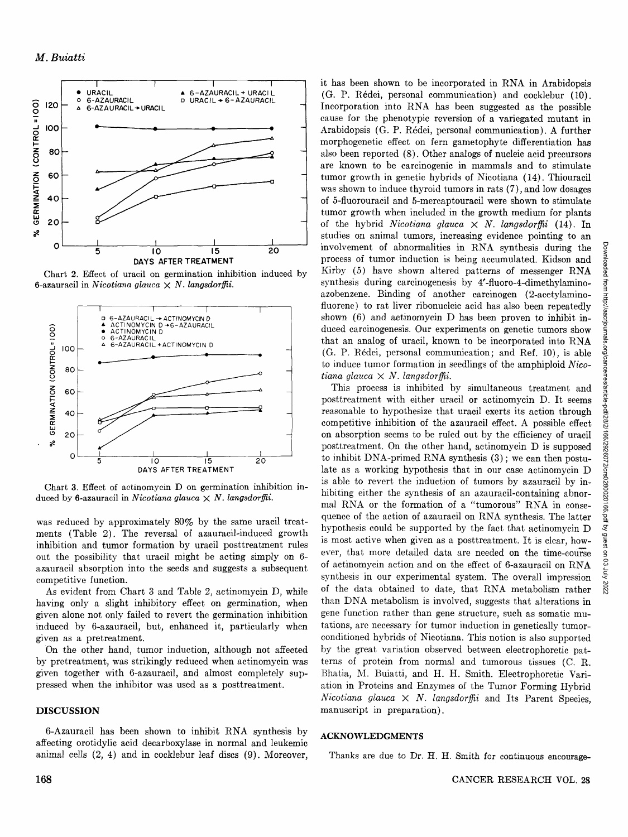

Chart 2. Effect of uracil on germination inhibition induced by 6-azauracil in Nicotiana glauca  $\times$  N. langsdorffii.



Chart 3. Effect of actinomycin D on germination inhibition induced by 6-azauracil in Nicotiana glauca  $\times N$ . langsdorffii.

was reduced by approximately 80% by the same uracil treatments (Table 2). The reversal of azauracil-induced growth inhibition and tumor formation by uracil posttreatment rules out the possibility that uracil might be acting simply on 6azauracil absorption into the seeds and suggests a subsequent competitive function.

As evident from Chart 3 and Table 2, actinomycin D, while having only a slight inhibitory effect on germination, when given alone not only failed to revert the germination inhibition induced by 6-azauracil, but, enhanced it, particularly when given as a pretreatment.

On the other hand, tumor induction, although not affected by pretreatment, was strikingly reduced when actinomycin was given together with 6-azauracil, and almost completely suppressed when the inhibitor was used as a posttreatment.

## **DISCUSSION**

6-Azauracil has been shown to inhibit RNA synthesis by affecting orotidylic acid decarboxylase in normal and leukemic animal cells  $(2, 4)$  and in cocklebur leaf discs  $(9)$ . Moreover, it has been shown to be incorporated in RNA in Arabidopsis (G. P. Rédei, personal communication) and cocklebur (10). Incorporation into RNA has been suggested as the possible cause for the phenotypic reversion of a variegated mutant in Arabidopsis (G. P. Rédei, personal communication). A further morphogenetic effect on fern gametophyte differentiation has also been reported (8). Other analogs of nucleic acid precursors are known to be carcinogenic in mammals and to stimulate tumor growth in genetic hybrids of Nicotiana (14). Thiouracil was shown to induce thyroid tumors in rats (7), and low dosages of 5-fluorouracil and 5-mercaptouracil were shown to stimulate tumor growth when included in the growth medium for plants of the hybrid Nicotiana glauca  $\times N$ . langsdorffii (14). In studies on animal tumors, increasing evidence pointing to an involvement of abnormalities in RNA synthesis during the process of tumor induction is being accumulated. Kidson and Kirby (5) have shown altered patterns of messenger RNA synthesis during carcinogenesis by 4'-fluoro-4-dimethylaminoazobenzene. Binding of another carcinogen (2-acetylaminofluorene) to rat liver ribonucleic acid has also been repeatedly shown  $(6)$  and actinomycin D has been proven to inhibit induced carcinogenesis. Our experiments on genetic tumors show that an analog of uracil, known to be incorporated into RNA (G. P. Rédei, personal communication; and Ref. 10), is able to induce tumor formation in seedlings of the amphiploid Nicotiana glauca  $\times N$ . langsdorffii.

This process is inhibited by simultaneous treatment and posttreatment with either uracil or actinomycin D. It seems reasonable to hypothesize that uracil exerts its action through competitive inhibition of the azauracil effect. A possible effect on absorption seems to be ruled out by the efficiency of uracil posttreatment. On the other hand, actinomycin D is supposed to inhibit DNA-primed RNA synthesis (3); we can then postulate as a working hypothesis that in our case actinomycin D is able to revert the induction of tumors by azauracil by inhibiting either the synthesis of an azauracil-containing abnormal RNA or the formation of a "tumorous" RNA in consequence of the action of azauracil on RNA synthesis. The latter hypothesis could be supported by the fact that actinomycin D is most active when given as a posttreatment. It is clear, however, that more detailed data are needed on the time-course of actinomycin action and on the effect of 6-azauracil on RNA synthesis in our experimental system. The overall impression of the data obtained to date, that RNA metabolism rather than DNA metabolism is involved, suggests that alterations in gene function rather than gene structure, such as somatic mutations, are necessary for tumor induction in genetically tumorconditioned hybrids of Nicotiana. This notion is also supported by the great variation observed between electrophoretic patterns of protein from normal and tumorous tissues (C. R. Bhatia, M. Buiatti, and H. H. Smith. Electrophoretic Variation in Proteins and Enzymes of the Tumor Forming Hybrid Nicotiana glauca  $\times$  N. langsdorffii and Its Parent Species. manuscript in preparation).

#### **ACKNOWLEDGMENTS**

Thanks are due to Dr. H. H. Smith for continuous encourage-